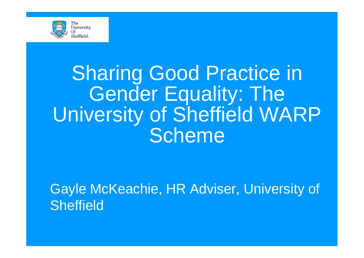

## Sharing Good Practice in Gender Equality: The University of Sheffield WARP **Scheme**

Gayle McKeachie, HR Adviser, University of **Sheffield**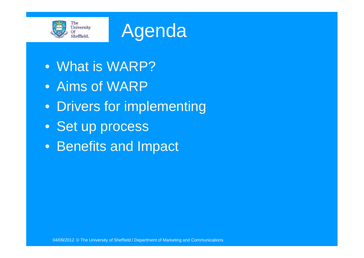

#### Agenda

- What is WARP?
- Aims of WARP
- Drivers for implementing
- Set up process
- Benefits and Impact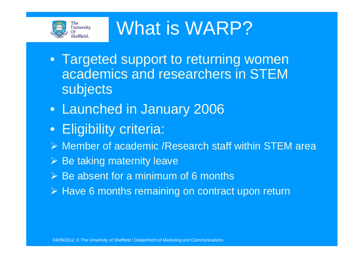

What is WARP?

- Targeted support to returning women academics and researchers in STEM subjects
- Launched in January 2006
- Eligibility criteria:
- Member of academic /Research staff within STEM area
- $\triangleright$  Be taking maternity leave
- $\triangleright$  Be absent for a minimum of 6 months
- $\triangleright$  Have 6 months remaining on contract upon return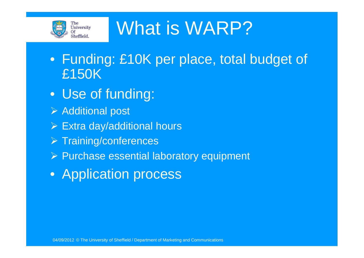

#### What is WARP?

- Funding: £10K per place, total budget of £150K
- Use of funding:
- Additional post
- $\triangleright$  Extra day/additional hours
- $\triangleright$  Training/conferences
- Purchase essential laboratory equipment
- Application process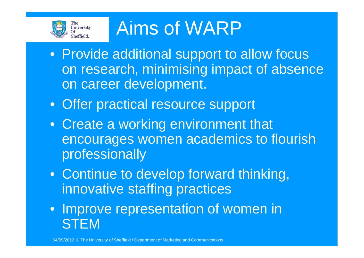

#### Aims of WARP

- Provide additional support to allow focus on research, minimising impact of absence on career development.
- Offer practical resource support
- Create a working environment that encourages women academics to flourish professionally
- Continue to develop forward thinking, innovative staffing practices
- Improve representation of women in **STEM**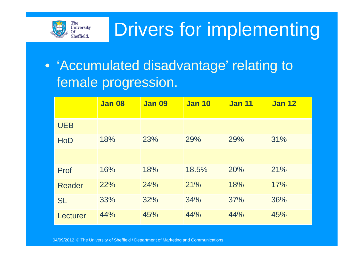

#### Drivers for implementing

#### • 'Accumulated disadvantage' relating to female progression.

|               | <b>Jan 08</b> | <b>Jan 09</b> | <b>Jan 10</b> | <b>Jan 11</b> | <b>Jan 12</b> |
|---------------|---------------|---------------|---------------|---------------|---------------|
| <b>UEB</b>    |               |               |               |               |               |
| <b>HoD</b>    | 18%           | 23%           | 29%           | 29%           | 31%           |
|               |               |               |               |               |               |
| Prof          | 16%           | 18%           | 18.5%         | 20%           | 21%           |
| <b>Reader</b> | 22%           | 24%           | 21%           | 18%           | 17%           |
| <b>SL</b>     | 33%           | 32%           | 34%           | 37%           | 36%           |
| Lecturer      | 44%           | 45%           | 44%           | 44%           | 45%           |

04/09/2012 © The University of Sheffield / Department of Marketing and Communications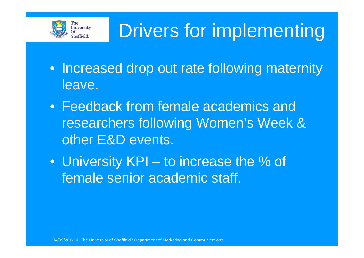

## Drivers for implementing

- Increased drop out rate following maternity leave.
- Feedback from female academics and researchers following Women's Week & other E&D events.
- University KPI to increase the % of female senior academic staff.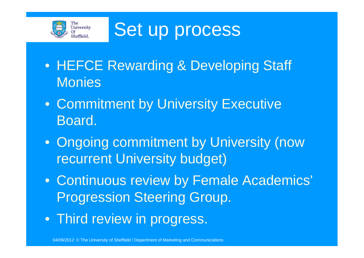

Set up process

- HEFCE Rewarding & Developing Staff **Monies**
- Commitment by University Executive Board.
- Ongoing commitment by University (now recurrent University budget)
- Continuous review by Female Academics' Progression Steering Group.
- Third review in progress.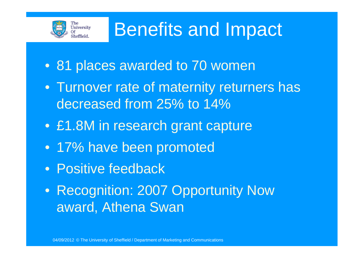

#### Benefits and Impact

- 81 places awarded to 70 women
- Turnover rate of maternity returners has decreased from 25% to 14%
- £1.8M in research grant capture
- 17% have been promoted
- Positive feedback
- Recognition: 2007 Opportunity Now award, Athena Swan